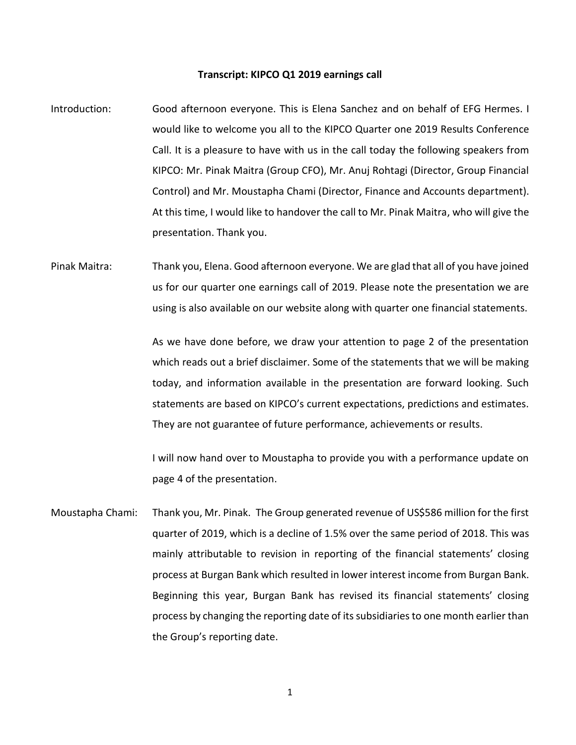## **Transcript: KIPCO Q1 2019 earnings call**

- Introduction: Good afternoon everyone. This is Elena Sanchez and on behalf of EFG Hermes. I would like to welcome you all to the KIPCO Quarter one 2019 Results Conference Call. It is a pleasure to have with us in the call today the following speakers from KIPCO: Mr. Pinak Maitra (Group CFO), Mr. Anuj Rohtagi (Director, Group Financial Control) and Mr. Moustapha Chami (Director, Finance and Accounts department). At this time, I would like to handover the call to Mr. Pinak Maitra, who will give the presentation. Thank you.
- Pinak Maitra: Thank you, Elena. Good afternoon everyone. We are glad that all of you have joined us for our quarter one earnings call of 2019. Please note the presentation we are using is also available on our website along with quarter one financial statements.

As we have done before, we draw your attention to page 2 of the presentation which reads out a brief disclaimer. Some of the statements that we will be making today, and information available in the presentation are forward looking. Such statements are based on KIPCO's current expectations, predictions and estimates. They are not guarantee of future performance, achievements or results.

I will now hand over to Moustapha to provide you with a performance update on page 4 of the presentation.

Moustapha Chami: Thank you, Mr. Pinak. The Group generated revenue of US\$586 million for the first quarter of 2019, which is a decline of 1.5% over the same period of 2018. This was mainly attributable to revision in reporting of the financial statements' closing process at Burgan Bank which resulted in lower interest income from Burgan Bank. Beginning this year, Burgan Bank has revised its financial statements' closing process by changing the reporting date of its subsidiaries to one month earlier than the Group's reporting date.

1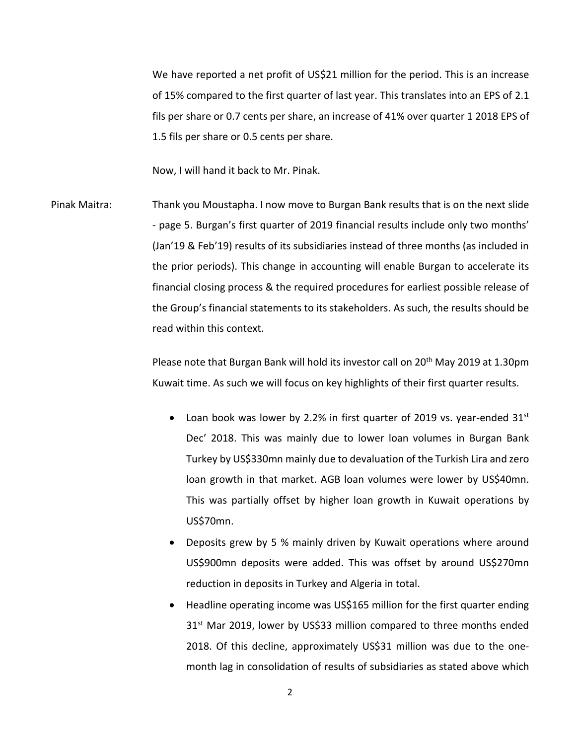We have reported a net profit of US\$21 million for the period. This is an increase of 15% compared to the first quarter of last year. This translates into an EPS of 2.1 fils per share or 0.7 cents per share, an increase of 41% over quarter 1 2018 EPS of 1.5 fils per share or 0.5 cents per share.

Now, I will hand it back to Mr. Pinak.

Pinak Maitra: Thank you Moustapha. I now move to Burgan Bank results that is on the next slide - page 5. Burgan's first quarter of 2019 financial results include only two months' (Jan'19 & Feb'19) results of its subsidiaries instead of three months (as included in the prior periods). This change in accounting will enable Burgan to accelerate its financial closing process & the required procedures for earliest possible release of the Group's financial statements to its stakeholders. As such, the results should be read within this context.

> Please note that Burgan Bank will hold its investor call on 20th May 2019 at 1.30pm Kuwait time. As such we will focus on key highlights of their first quarter results.

- Loan book was lower by 2.2% in first quarter of 2019 vs. year-ended  $31<sup>st</sup>$ Dec' 2018. This was mainly due to lower loan volumes in Burgan Bank Turkey by US\$330mn mainly due to devaluation of the Turkish Lira and zero loan growth in that market. AGB loan volumes were lower by US\$40mn. This was partially offset by higher loan growth in Kuwait operations by US\$70mn.
- Deposits grew by 5 % mainly driven by Kuwait operations where around US\$900mn deposits were added. This was offset by around US\$270mn reduction in deposits in Turkey and Algeria in total.
- Headline operating income was US\$165 million for the first quarter ending 31<sup>st</sup> Mar 2019, lower by US\$33 million compared to three months ended 2018. Of this decline, approximately US\$31 million was due to the onemonth lag in consolidation of results of subsidiaries as stated above which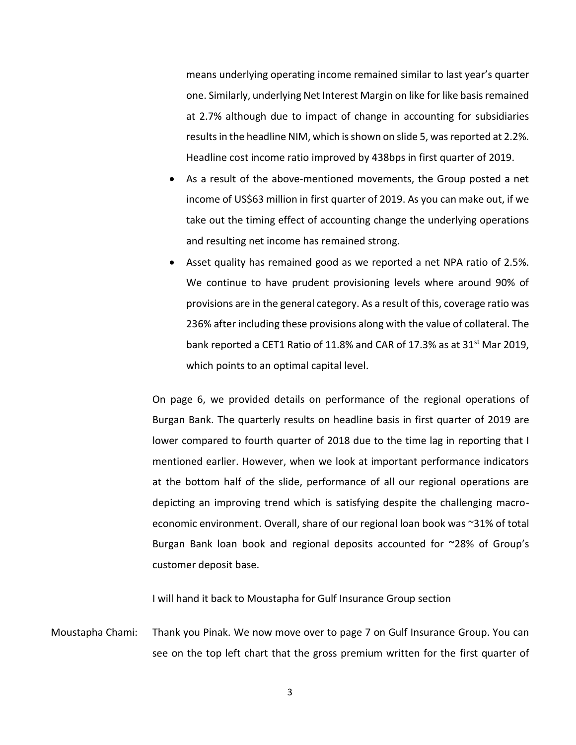means underlying operating income remained similar to last year's quarter one. Similarly, underlying Net Interest Margin on like for like basis remained at 2.7% although due to impact of change in accounting for subsidiaries results in the headline NIM, which is shown on slide 5, was reported at 2.2%. Headline cost income ratio improved by 438bps in first quarter of 2019.

- As a result of the above-mentioned movements, the Group posted a net income of US\$63 million in first quarter of 2019. As you can make out, if we take out the timing effect of accounting change the underlying operations and resulting net income has remained strong.
- Asset quality has remained good as we reported a net NPA ratio of 2.5%. We continue to have prudent provisioning levels where around 90% of provisions are in the general category. As a result of this, coverage ratio was 236% after including these provisions along with the value of collateral. The bank reported a CET1 Ratio of 11.8% and CAR of 17.3% as at 31 $^{\rm st}$  Mar 2019, which points to an optimal capital level.

On page 6, we provided details on performance of the regional operations of Burgan Bank. The quarterly results on headline basis in first quarter of 2019 are lower compared to fourth quarter of 2018 due to the time lag in reporting that I mentioned earlier. However, when we look at important performance indicators at the bottom half of the slide, performance of all our regional operations are depicting an improving trend which is satisfying despite the challenging macroeconomic environment. Overall, share of our regional loan book was ~31% of total Burgan Bank loan book and regional deposits accounted for ~28% of Group's customer deposit base.

I will hand it back to Moustapha for Gulf Insurance Group section

Moustapha Chami: Thank you Pinak. We now move over to page 7 on Gulf Insurance Group. You can see on the top left chart that the gross premium written for the first quarter of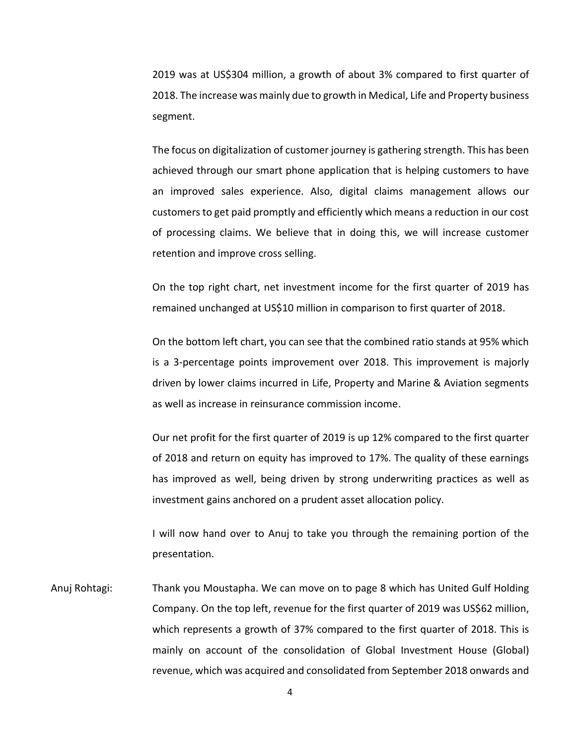2019 was at US\$304 million, a growth of about 3% compared to first quarter of 2018. The increase was mainly due to growth in Medical, Life and Property business segment.

The focus on digitalization of customer journey is gathering strength. This has been achieved through our smart phone application that is helping customers to have an improved sales experience. Also, digital claims management allows our customers to get paid promptly and efficiently which means a reduction in our cost of processing claims. We believe that in doing this, we will increase customer retention and improve cross selling.

On the top right chart, net investment income for the first quarter of 2019 has remained unchanged at US\$10 million in comparison to first quarter of 2018.

On the bottom left chart, you can see that the combined ratio stands at 95% which is a 3-percentage points improvement over 2018. This improvement is majorly driven by lower claims incurred in Life, Property and Marine & Aviation segments as well as increase in reinsurance commission income.

Our net profit for the first quarter of 2019 is up 12% compared to the first quarter of 2018 and return on equity has improved to 17%. The quality of these earnings has improved as well, being driven by strong underwriting practices as well as investment gains anchored on a prudent asset allocation policy.

I will now hand over to Anuj to take you through the remaining portion of the presentation.

Anuj Rohtagi: Thank you Moustapha. We can move on to page 8 which has United Gulf Holding Company. On the top left, revenue for the first quarter of 2019 was US\$62 million, which represents a growth of 37% compared to the first quarter of 2018. This is mainly on account of the consolidation of Global Investment House (Global) revenue, which was acquired and consolidated from September 2018 onwards and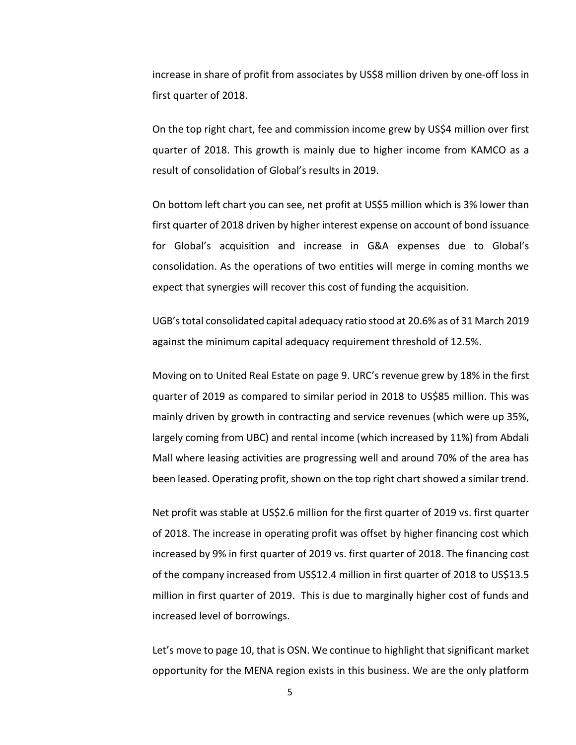increase in share of profit from associates by US\$8 million driven by one-off loss in first quarter of 2018.

On the top right chart, fee and commission income grew by US\$4 million over first quarter of 2018. This growth is mainly due to higher income from KAMCO as a result of consolidation of Global's results in 2019.

On bottom left chart you can see, net profit at US\$5 million which is 3% lower than first quarter of 2018 driven by higher interest expense on account of bond issuance for Global's acquisition and increase in G&A expenses due to Global's consolidation. As the operations of two entities will merge in coming months we expect that synergies will recover this cost of funding the acquisition.

UGB's total consolidated capital adequacy ratio stood at 20.6% as of 31 March 2019 against the minimum capital adequacy requirement threshold of 12.5%.

Moving on to United Real Estate on page 9. URC's revenue grew by 18% in the first quarter of 2019 as compared to similar period in 2018 to US\$85 million. This was mainly driven by growth in contracting and service revenues (which were up 35%, largely coming from UBC) and rental income (which increased by 11%) from Abdali Mall where leasing activities are progressing well and around 70% of the area has been leased. Operating profit, shown on the top right chart showed a similar trend.

Net profit was stable at US\$2.6 million for the first quarter of 2019 vs. first quarter of 2018. The increase in operating profit was offset by higher financing cost which increased by 9% in first quarter of 2019 vs. first quarter of 2018. The financing cost of the company increased from US\$12.4 million in first quarter of 2018 to US\$13.5 million in first quarter of 2019. This is due to marginally higher cost of funds and increased level of borrowings.

Let's move to page 10, that is OSN. We continue to highlight that significant market opportunity for the MENA region exists in this business. We are the only platform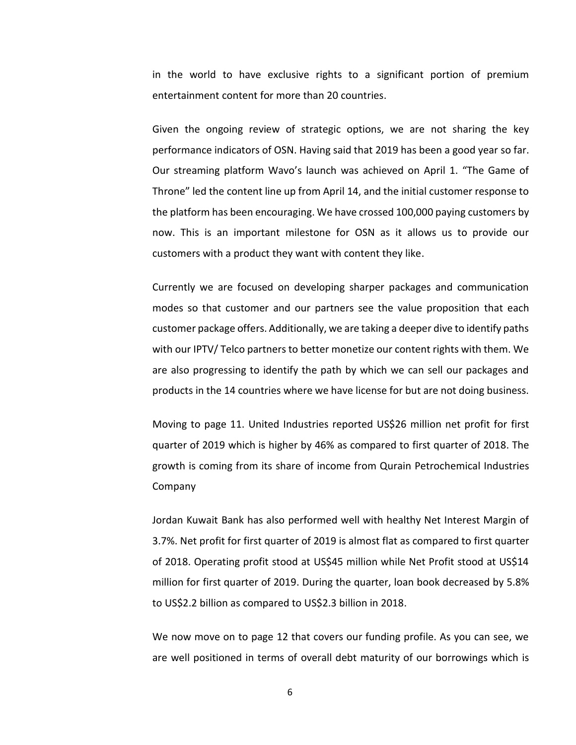in the world to have exclusive rights to a significant portion of premium entertainment content for more than 20 countries.

Given the ongoing review of strategic options, we are not sharing the key performance indicators of OSN. Having said that 2019 has been a good year so far. Our streaming platform Wavo's launch was achieved on April 1. "The Game of Throne" led the content line up from April 14, and the initial customer response to the platform has been encouraging. We have crossed 100,000 paying customers by now. This is an important milestone for OSN as it allows us to provide our customers with a product they want with content they like.

Currently we are focused on developing sharper packages and communication modes so that customer and our partners see the value proposition that each customer package offers. Additionally, we are taking a deeper dive to identify paths with our IPTV/ Telco partners to better monetize our content rights with them. We are also progressing to identify the path by which we can sell our packages and products in the 14 countries where we have license for but are not doing business.

Moving to page 11. United Industries reported US\$26 million net profit for first quarter of 2019 which is higher by 46% as compared to first quarter of 2018. The growth is coming from its share of income from Qurain Petrochemical Industries Company

Jordan Kuwait Bank has also performed well with healthy Net Interest Margin of 3.7%. Net profit for first quarter of 2019 is almost flat as compared to first quarter of 2018. Operating profit stood at US\$45 million while Net Profit stood at US\$14 million for first quarter of 2019. During the quarter, loan book decreased by 5.8% to US\$2.2 billion as compared to US\$2.3 billion in 2018.

We now move on to page 12 that covers our funding profile. As you can see, we are well positioned in terms of overall debt maturity of our borrowings which is

6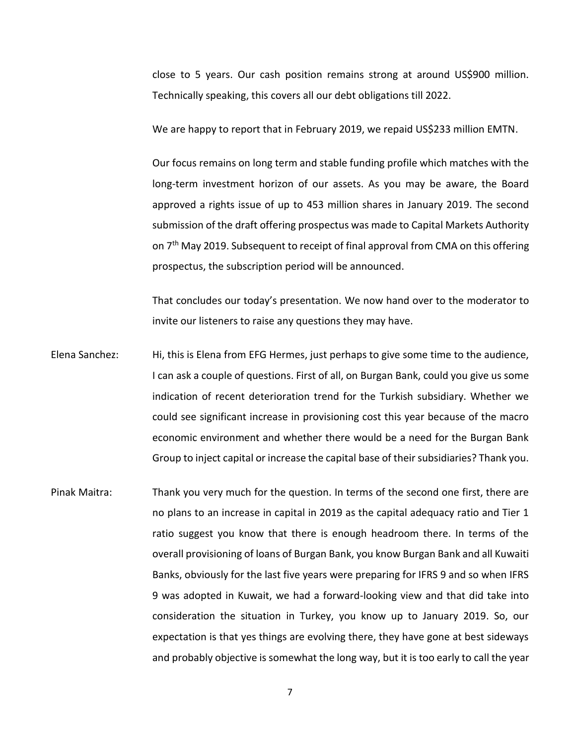close to 5 years. Our cash position remains strong at around US\$900 million. Technically speaking, this covers all our debt obligations till 2022.

We are happy to report that in February 2019, we repaid US\$233 million EMTN.

Our focus remains on long term and stable funding profile which matches with the long-term investment horizon of our assets. As you may be aware, the Board approved a rights issue of up to 453 million shares in January 2019. The second submission of the draft offering prospectus was made to Capital Markets Authority on 7<sup>th</sup> May 2019. Subsequent to receipt of final approval from CMA on this offering prospectus, the subscription period will be announced.

That concludes our today's presentation. We now hand over to the moderator to invite our listeners to raise any questions they may have.

- Elena Sanchez: Hi, this is Elena from EFG Hermes, just perhaps to give some time to the audience, I can ask a couple of questions. First of all, on Burgan Bank, could you give us some indication of recent deterioration trend for the Turkish subsidiary. Whether we could see significant increase in provisioning cost this year because of the macro economic environment and whether there would be a need for the Burgan Bank Group to inject capital or increase the capital base of their subsidiaries? Thank you.
- Pinak Maitra: Thank you very much for the question. In terms of the second one first, there are no plans to an increase in capital in 2019 as the capital adequacy ratio and Tier 1 ratio suggest you know that there is enough headroom there. In terms of the overall provisioning of loans of Burgan Bank, you know Burgan Bank and all Kuwaiti Banks, obviously for the last five years were preparing for IFRS 9 and so when IFRS 9 was adopted in Kuwait, we had a forward-looking view and that did take into consideration the situation in Turkey, you know up to January 2019. So, our expectation is that yes things are evolving there, they have gone at best sideways and probably objective is somewhat the long way, but it is too early to call the year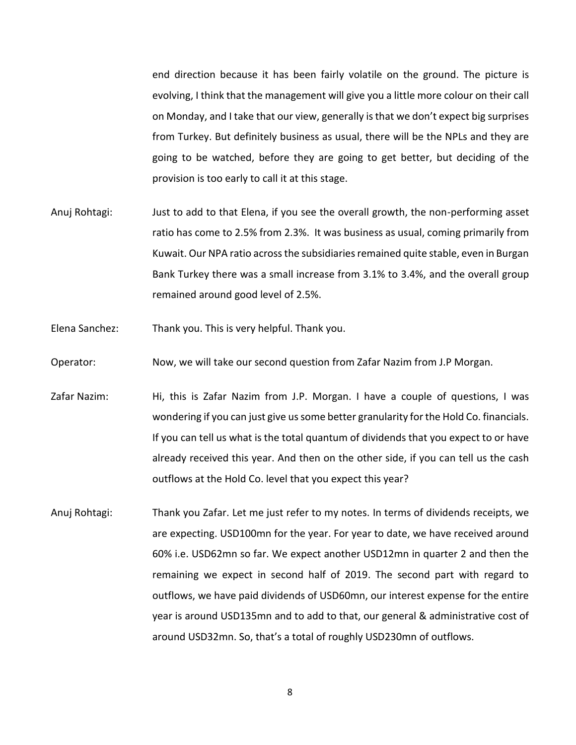end direction because it has been fairly volatile on the ground. The picture is evolving, I think that the management will give you a little more colour on their call on Monday, and I take that our view, generally is that we don't expect big surprises from Turkey. But definitely business as usual, there will be the NPLs and they are going to be watched, before they are going to get better, but deciding of the provision is too early to call it at this stage.

- Anuj Rohtagi: Just to add to that Elena, if you see the overall growth, the non-performing asset ratio has come to 2.5% from 2.3%. It was business as usual, coming primarily from Kuwait. Our NPA ratio across the subsidiaries remained quite stable, even in Burgan Bank Turkey there was a small increase from 3.1% to 3.4%, and the overall group remained around good level of 2.5%.
- Elena Sanchez: Thank you. This is very helpful. Thank you.
- Operator: Now, we will take our second question from Zafar Nazim from J.P Morgan.
- Zafar Nazim: Hi, this is Zafar Nazim from J.P. Morgan. I have a couple of questions, I was wondering if you can just give us some better granularity for the Hold Co. financials. If you can tell us what is the total quantum of dividends that you expect to or have already received this year. And then on the other side, if you can tell us the cash outflows at the Hold Co. level that you expect this year?
- Anuj Rohtagi: Thank you Zafar. Let me just refer to my notes. In terms of dividends receipts, we are expecting. USD100mn for the year. For year to date, we have received around 60% i.e. USD62mn so far. We expect another USD12mn in quarter 2 and then the remaining we expect in second half of 2019. The second part with regard to outflows, we have paid dividends of USD60mn, our interest expense for the entire year is around USD135mn and to add to that, our general & administrative cost of around USD32mn. So, that's a total of roughly USD230mn of outflows.

8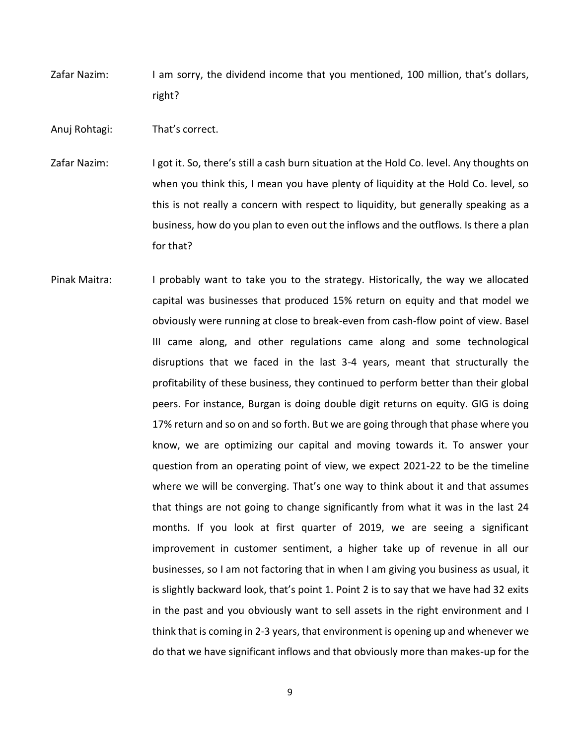Zafar Nazim: I am sorry, the dividend income that you mentioned, 100 million, that's dollars, right?

Anuj Rohtagi: That's correct.

- Zafar Nazim: I got it. So, there's still a cash burn situation at the Hold Co. level. Any thoughts on when you think this, I mean you have plenty of liquidity at the Hold Co. level, so this is not really a concern with respect to liquidity, but generally speaking as a business, how do you plan to even out the inflows and the outflows. Is there a plan for that?
- Pinak Maitra: I probably want to take you to the strategy. Historically, the way we allocated capital was businesses that produced 15% return on equity and that model we obviously were running at close to break-even from cash-flow point of view. Basel III came along, and other regulations came along and some technological disruptions that we faced in the last 3-4 years, meant that structurally the profitability of these business, they continued to perform better than their global peers. For instance, Burgan is doing double digit returns on equity. GIG is doing 17% return and so on and so forth. But we are going through that phase where you know, we are optimizing our capital and moving towards it. To answer your question from an operating point of view, we expect 2021-22 to be the timeline where we will be converging. That's one way to think about it and that assumes that things are not going to change significantly from what it was in the last 24 months. If you look at first quarter of 2019, we are seeing a significant improvement in customer sentiment, a higher take up of revenue in all our businesses, so I am not factoring that in when I am giving you business as usual, it is slightly backward look, that's point 1. Point 2 is to say that we have had 32 exits in the past and you obviously want to sell assets in the right environment and I think that is coming in 2-3 years, that environment is opening up and whenever we do that we have significant inflows and that obviously more than makes-up for the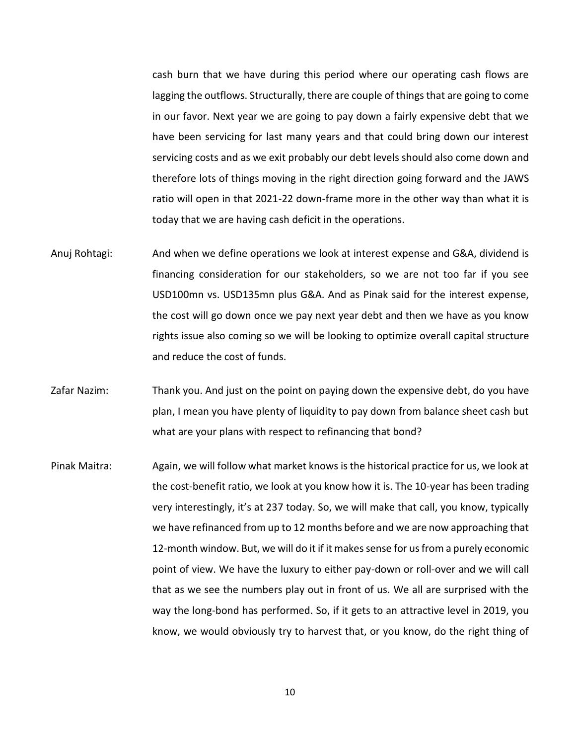cash burn that we have during this period where our operating cash flows are lagging the outflows. Structurally, there are couple of things that are going to come in our favor. Next year we are going to pay down a fairly expensive debt that we have been servicing for last many years and that could bring down our interest servicing costs and as we exit probably our debt levels should also come down and therefore lots of things moving in the right direction going forward and the JAWS ratio will open in that 2021-22 down-frame more in the other way than what it is today that we are having cash deficit in the operations.

- Anuj Rohtagi: And when we define operations we look at interest expense and G&A, dividend is financing consideration for our stakeholders, so we are not too far if you see USD100mn vs. USD135mn plus G&A. And as Pinak said for the interest expense, the cost will go down once we pay next year debt and then we have as you know rights issue also coming so we will be looking to optimize overall capital structure and reduce the cost of funds.
- Zafar Nazim: Thank you. And just on the point on paying down the expensive debt, do you have plan, I mean you have plenty of liquidity to pay down from balance sheet cash but what are your plans with respect to refinancing that bond?
- Pinak Maitra: Again, we will follow what market knows is the historical practice for us, we look at the cost-benefit ratio, we look at you know how it is. The 10-year has been trading very interestingly, it's at 237 today. So, we will make that call, you know, typically we have refinanced from up to 12 months before and we are now approaching that 12-month window. But, we will do it if it makes sense for us from a purely economic point of view. We have the luxury to either pay-down or roll-over and we will call that as we see the numbers play out in front of us. We all are surprised with the way the long-bond has performed. So, if it gets to an attractive level in 2019, you know, we would obviously try to harvest that, or you know, do the right thing of